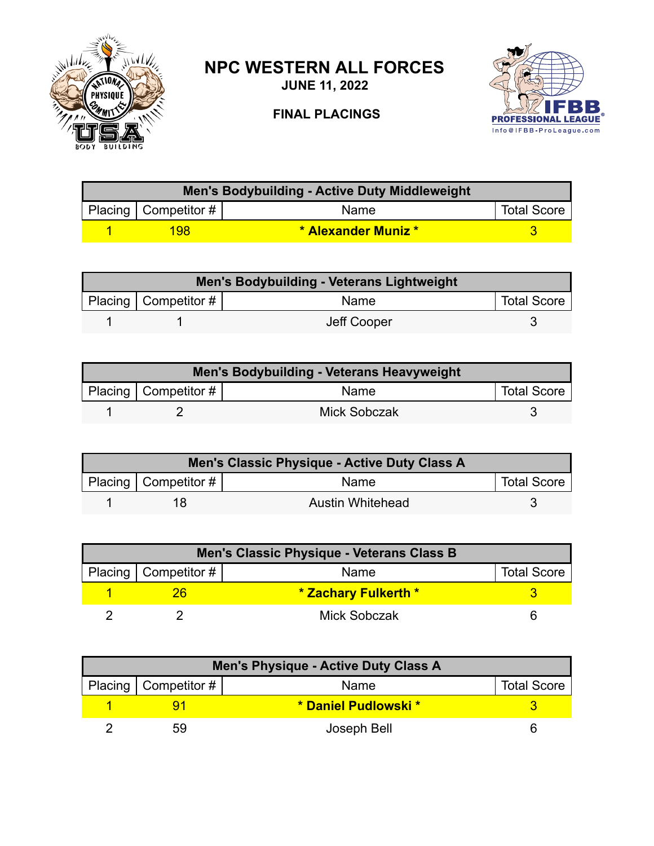

## **NPC WESTERN ALL FORCES**

**JUNE 11, 2022**



## **FINAL PLACINGS**

| <b>Men's Bodybuilding - Active Duty Middleweight</b> |                            |                    |  |  |
|------------------------------------------------------|----------------------------|--------------------|--|--|
| Placing   Competitor #                               | Name                       | <b>Total Score</b> |  |  |
| 198                                                  | <b>* Alexander Muniz *</b> |                    |  |  |

| <b>Men's Bodybuilding - Veterans Lightweight</b> |                        |             |                    |  |
|--------------------------------------------------|------------------------|-------------|--------------------|--|
|                                                  | Placing   Competitor # | Name        | <b>Total Score</b> |  |
|                                                  |                        | Jeff Cooper |                    |  |

| Men's Bodybuilding - Veterans Heavyweight |                           |                     |                    |  |
|-------------------------------------------|---------------------------|---------------------|--------------------|--|
|                                           | Placing   Competitor $\#$ | Name                | <b>Total Score</b> |  |
|                                           |                           | <b>Mick Sobczak</b> |                    |  |

| Men's Classic Physique - Active Duty Class A |                           |                  |                    |  |
|----------------------------------------------|---------------------------|------------------|--------------------|--|
|                                              | Placing   Competitor $\#$ | Name             | <b>Total Score</b> |  |
|                                              | 18                        | Austin Whitehead |                    |  |

| Men's Classic Physique - Veterans Class B |                      |                    |  |  |
|-------------------------------------------|----------------------|--------------------|--|--|
| Placing   Competitor #                    | Name                 | <b>Total Score</b> |  |  |
|                                           | * Zachary Fulkerth * |                    |  |  |
|                                           | <b>Mick Sobczak</b>  |                    |  |  |

| Men's Physique - Active Duty Class A |                        |                      |                    |  |
|--------------------------------------|------------------------|----------------------|--------------------|--|
|                                      | Placing   Competitor # | Name                 | <b>Total Score</b> |  |
|                                      |                        | * Daniel Pudlowski * |                    |  |
|                                      | 59                     | Joseph Bell          |                    |  |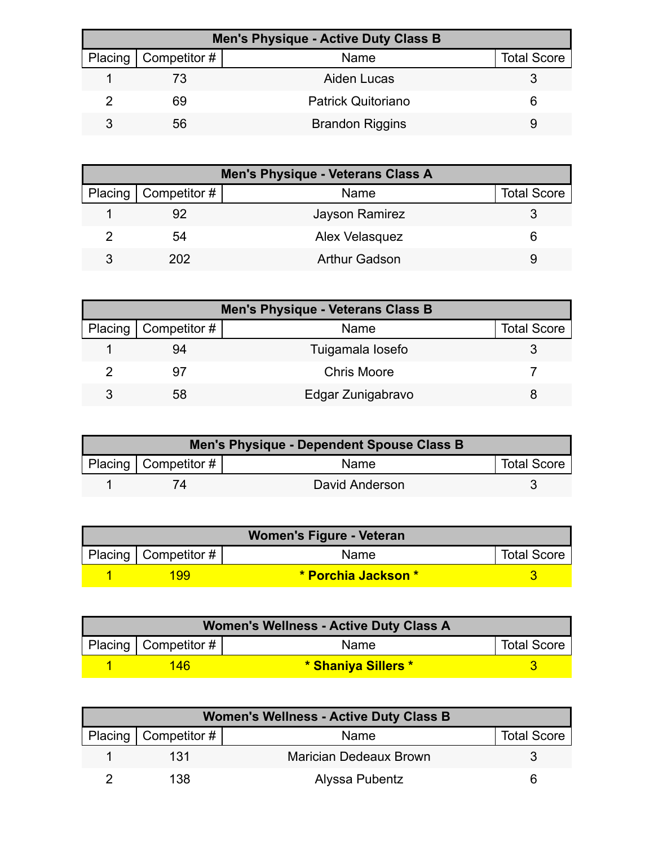| <b>Men's Physique - Active Duty Class B</b> |                           |                    |  |  |
|---------------------------------------------|---------------------------|--------------------|--|--|
| Placing   Competitor #                      | <b>Name</b>               | <b>Total Score</b> |  |  |
| 73                                          | Aiden Lucas               |                    |  |  |
| 69                                          | <b>Patrick Quitoriano</b> |                    |  |  |
| 56                                          | <b>Brandon Riggins</b>    |                    |  |  |

| <b>Men's Physique - Veterans Class A</b> |                        |                      |                    |  |
|------------------------------------------|------------------------|----------------------|--------------------|--|
|                                          | Placing   Competitor # | <b>Name</b>          | <b>Total Score</b> |  |
|                                          | 92                     | Jayson Ramirez       |                    |  |
|                                          | 54                     | Alex Velasquez       |                    |  |
| 3                                        | 202                    | <b>Arthur Gadson</b> |                    |  |

| <b>Men's Physique - Veterans Class B</b> |                              |                    |                    |  |
|------------------------------------------|------------------------------|--------------------|--------------------|--|
|                                          | Placing $\vert$ Competitor # | <b>Name</b>        | <b>Total Score</b> |  |
|                                          | 94                           | Tuigamala losefo   |                    |  |
|                                          | .97                          | <b>Chris Moore</b> |                    |  |
|                                          | 58                           | Edgar Zunigabravo  |                    |  |

| Men's Physique - Dependent Spouse Class B |                          |                |                    |
|-------------------------------------------|--------------------------|----------------|--------------------|
|                                           | Placing   Competitor $#$ | Name           | <b>Total Score</b> |
|                                           |                          | David Anderson |                    |

| Women's Figure - Veteran |                          |                     |                    |
|--------------------------|--------------------------|---------------------|--------------------|
|                          | Placing   Competitor $#$ | <b>Name</b>         | <b>Total Score</b> |
|                          | 199                      | * Porchia Jackson * |                    |

| <b>Women's Wellness - Active Duty Class A</b> |                          |                     |                    |  |
|-----------------------------------------------|--------------------------|---------------------|--------------------|--|
|                                               | Placing   Competitor $#$ | <b>Name</b>         | <b>Total Score</b> |  |
|                                               | 146                      | * Shaniya Sillers * |                    |  |

| <b>Women's Wellness - Active Duty Class B</b> |                        |                               |                    |
|-----------------------------------------------|------------------------|-------------------------------|--------------------|
|                                               | Placing   Competitor # | Name                          | <b>Total Score</b> |
|                                               | 131                    | <b>Marician Dedeaux Brown</b> |                    |
|                                               | 138                    | Alyssa Pubentz                |                    |